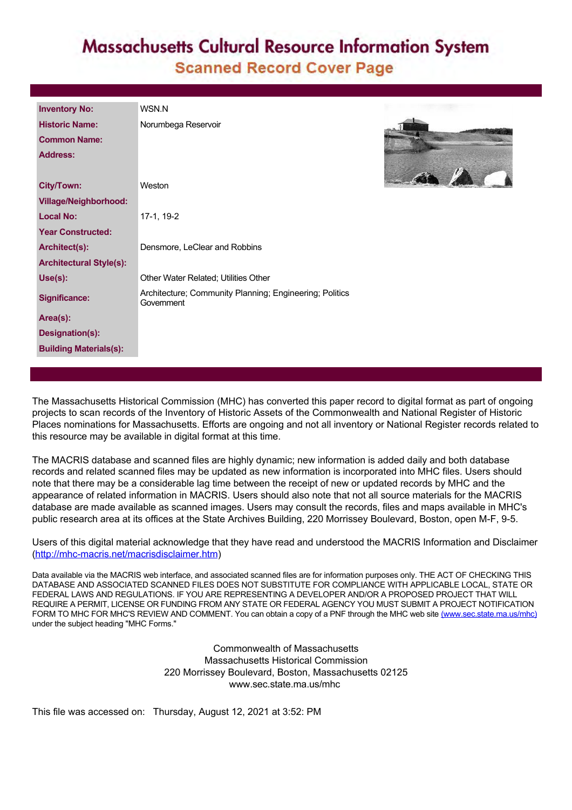## **Massachusetts Cultural Resource Information System Scanned Record Cover Page**

| <b>Inventory No:</b>           | WSN.N                                                                 |
|--------------------------------|-----------------------------------------------------------------------|
| <b>Historic Name:</b>          | Norumbega Reservoir                                                   |
| <b>Common Name:</b>            |                                                                       |
| Address:                       |                                                                       |
|                                |                                                                       |
| <b>City/Town:</b>              | Weston                                                                |
| <b>Village/Neighborhood:</b>   |                                                                       |
| <b>Local No:</b>               | 17-1, 19-2                                                            |
| <b>Year Constructed:</b>       |                                                                       |
| Architect(s):                  | Densmore, LeClear and Robbins                                         |
| <b>Architectural Style(s):</b> |                                                                       |
| Use(s):                        | Other Water Related: Utilities Other                                  |
| <b>Significance:</b>           | Architecture; Community Planning; Engineering; Politics<br>Government |
| Area(s):                       |                                                                       |
| Designation(s):                |                                                                       |
| <b>Building Materials(s):</b>  |                                                                       |



The Massachusetts Historical Commission (MHC) has converted this paper record to digital format as part of ongoing projects to scan records of the Inventory of Historic Assets of the Commonwealth and National Register of Historic Places nominations for Massachusetts. Efforts are ongoing and not all inventory or National Register records related to this resource may be available in digital format at this time.

The MACRIS database and scanned files are highly dynamic; new information is added daily and both database records and related scanned files may be updated as new information is incorporated into MHC files. Users should note that there may be a considerable lag time between the receipt of new or updated records by MHC and the appearance of related information in MACRIS. Users should also note that not all source materials for the MACRIS database are made available as scanned images. Users may consult the records, files and maps available in MHC's public research area at its offices at the State Archives Building, 220 Morrissey Boulevard, Boston, open M-F, 9-5.

Users of this digital material acknowledge that they have read and understood the MACRIS Information and Disclaimer ([http://mhc-macris.net/macrisdisclaimer.htm\)](http://mhc-macris.net/macrisdisclaimer.htm)

Data available via the MACRIS web interface, and associated scanned files are for information purposes only. THE ACT OF CHECKING THIS DATABASE AND ASSOCIATED SCANNED FILES DOES NOT SUBSTITUTE FOR COMPLIANCE WITH APPLICABLE LOCAL, STATE OR FEDERAL LAWS AND REGULATIONS. IF YOU ARE REPRESENTING A DEVELOPER AND/OR A PROPOSED PROJECT THAT WILL REQUIRE A PERMIT, LICENSE OR FUNDING FROM ANY STATE OR FEDERAL AGENCY YOU MUST SUBMIT A PROJECT NOTIFICATION FORM TO MHC FOR MHC'S REVIEW AND COMMENT. You can obtain a copy of a PNF through the MHC web site [\(www.sec.state.ma.us/mhc\)](http://www.sec.state.ma.us/mhc) under the subject heading "MHC Forms."

> Commonwealth of Massachusetts Massachusetts Historical Commission 220 Morrissey Boulevard, Boston, Massachusetts 02125 www.sec.state.ma.us/mhc

This file was accessed on: Thursday, August 12, 2021 at 3:52: PM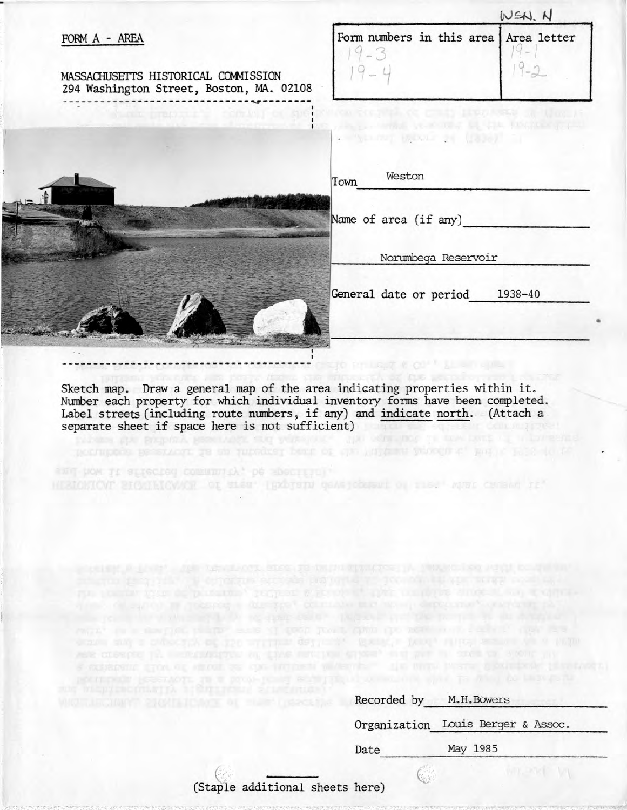|                                                                                 | WSN. N                                                                               |             |
|---------------------------------------------------------------------------------|--------------------------------------------------------------------------------------|-------------|
| FORM A - AREA                                                                   | Form numbers in this area<br>$9 - 3$                                                 | Area letter |
| MASSACHUSETTS HISTORICAL COMMISSION<br>294 Washington Street, Boston, MA. 02108 |                                                                                      |             |
| where irreply is control of specific control of the irreplace of the in-        | The part which is a second of the thought the property of<br>www.com Boons 24 (1836) |             |
|                                                                                 | Weston<br>Town                                                                       |             |
|                                                                                 | Name of area (if any)                                                                |             |
|                                                                                 | Norumbega Reservoir                                                                  |             |
|                                                                                 | General date or period<br>1938-40                                                    |             |
|                                                                                 |                                                                                      |             |
|                                                                                 |                                                                                      |             |

**Sketch map. Draw a general map of the area indicating properties within it. Number each property for which individual inventory forms have been completed. Label streets (including route numbers, if any) and indicate north. (Attach a separate sheet if space here is not sufficient)** 

MENCHION BIGGILICOMOR OI SLES" IRADISIN GEARICESEDI OI TIES" MUSIC CENERA IL"

| Recorded by | M.H.Bowers                         |
|-------------|------------------------------------|
|             | Organization Louis Berger & Assoc. |
| Date        | May 1985                           |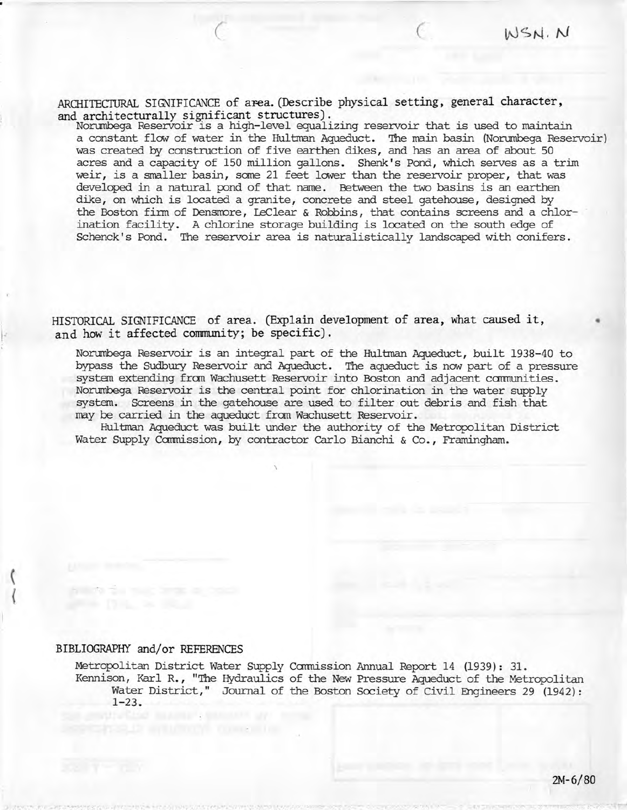ARCHITECTURAL SIGNIFICANCE of area. (Describe physical setting, general character, **and architecturally significant structures).** 

*( (* 

Norumbega Reservoir is a high-level equalizing reservoir that is used to maintain a constant flow of water in the Hultman Aqueduct. The main basin (Norumbega Reservoir) was created by construction of five earthen dikes, and has an area of about 50 acres and a capacity of 150 million gallons. Shenk's Pond, which serves as a trim weir, is a smaller basin, some 21 feet lower than the reservoir proper, that was developed in a natural pond of that name. Between the two basins is an earthen dike, on which is located a granite, concrete and steel gatehouse, designed by the Boston firm of Densmore, LeClear & Robbins, that contains screens and a chlorination facility. A chlorine storage building is located on the south edge of Schenck's Pond. The reservoir area is naturalistically landscaped with conifers.

**HISTORICAL SIGNIFICANCE of area. (Explain development of area, what caused it, and how it affected community; be specific).** 

Norumbega Reservoir is an integral part of the Hultman Aqueduct, built 1938-40 to bypass the Sudbury Reservoir and Aqueduct. The aqueduct is now part of a pressure system extending from Wachusett Reservoir into Boston and adjacent communities. Norumbega Reservoir is the central point for chlorination in the water supply system. Screens in the gatehouse are used to filter out debris and fish that may be carried in the aqueduct from Wachusett Reservoir.

Hultman Aqueduct was built under the authority of the Metropolitan District Water Supply Commission, by contractor Carlo Bianchi & Co., Framingham.

**\** 

## **BIBLIOGRAPHY and/or REFERENCES**

Metropolitan District Water Supply Commission Annual Report 14 (1939): 31. Kennison, Karl R. , "The Hydraulics of the New Pressure Aqueduct of the Metropolitan Water District," Journal of the Boston Society of Civil Engineers 29 (1942): 1-23.